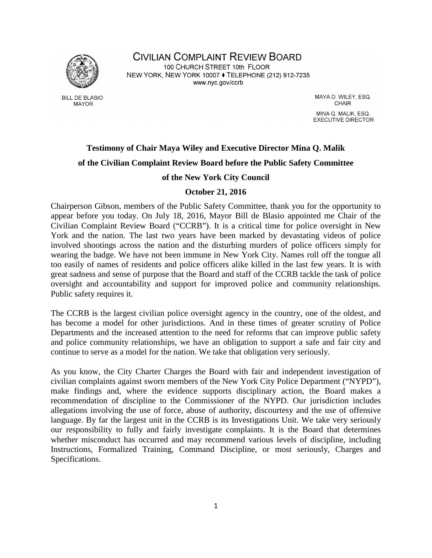

**BILL DE BLASIO MAYOR** 

**CIVILIAN COMPLAINT REVIEW BOARD** 100 CHURCH STREET 10th FLOOR NEW YORK, NEW YORK 10007 ♦ TELEPHONE (212) 912-7235 www.nyc.gov/ccrb

> MAYA D. WILEY, ESQ. CHAIR MINA Q. MALIK, ESQ. **EXECUTIVE DIRECTOR**

# **Testimony of Chair Maya Wiley and Executive Director Mina Q. Malik of the Civilian Complaint Review Board before the Public Safety Committee**

# **of the New York City Council**

# **October 21, 2016**

Chairperson Gibson, members of the Public Safety Committee, thank you for the opportunity to appear before you today. On July 18, 2016, Mayor Bill de Blasio appointed me Chair of the Civilian Complaint Review Board ("CCRB"). It is a critical time for police oversight in New York and the nation. The last two years have been marked by devastating videos of police involved shootings across the nation and the disturbing murders of police officers simply for wearing the badge. We have not been immune in New York City. Names roll off the tongue all too easily of names of residents and police officers alike killed in the last few years. It is with great sadness and sense of purpose that the Board and staff of the CCRB tackle the task of police oversight and accountability and support for improved police and community relationships. Public safety requires it.

The CCRB is the largest civilian police oversight agency in the country, one of the oldest, and has become a model for other jurisdictions. And in these times of greater scrutiny of Police Departments and the increased attention to the need for reforms that can improve public safety and police community relationships, we have an obligation to support a safe and fair city and continue to serve as a model for the nation. We take that obligation very seriously.

As you know, the City Charter Charges the Board with fair and independent investigation of civilian complaints against sworn members of the New York City Police Department ("NYPD"), make findings and, where the evidence supports disciplinary action, the Board makes a recommendation of discipline to the Commissioner of the NYPD. Our jurisdiction includes allegations involving the use of force, abuse of authority, discourtesy and the use of offensive language. By far the largest unit in the CCRB is its Investigations Unit. We take very seriously our responsibility to fully and fairly investigate complaints. It is the Board that determines whether misconduct has occurred and may recommend various levels of discipline, including Instructions, Formalized Training, Command Discipline, or most seriously, Charges and Specifications.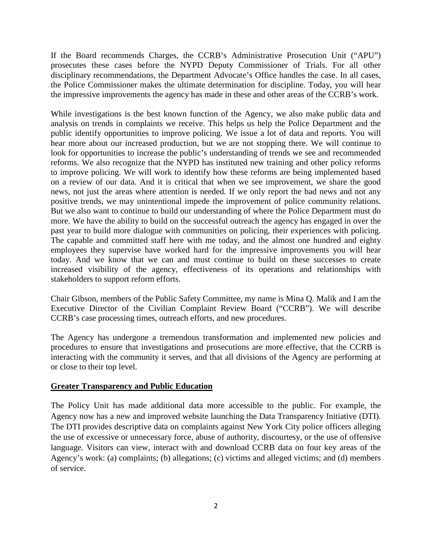If the Board recommends Charges, the CCRB's Administrative Prosecution Unit ("APU") prosecutes these cases before the NYPD Deputy Commissioner of Trials. For all other disciplinary recommendations, the Department Advocate's Office handles the case. In all cases, the Police Commissioner makes the ultimate determination for discipline. Today, you will hear the impressive improvements the agency has made in these and other areas of the CCRB's work.

While investigations is the best known function of the Agency, we also make public data and analysis on trends in complaints we receive. This helps us help the Police Department and the public identify opportunities to improve policing. We issue a lot of data and reports. You will hear more about our increased production, but we are not stopping there. We will continue to look for opportunities to increase the public's understanding of trends we see and recommended reforms. We also recognize that the NYPD has instituted new training and other policy reforms to improve policing. We will work to identify how these reforms are being implemented based on a review of our data. And it is critical that when we see improvement, we share the good news, not just the areas where attention is needed. If we only report the bad news and not any positive trends, we may unintentional impede the improvement of police community relations. But we also want to continue to build our understanding of where the Police Department must do more. We have the ability to build on the successful outreach the agency has engaged in over the past year to build more dialogue with communities on policing, their experiences with policing. The capable and committed staff here with me today, and the almost one hundred and eighty employees they supervise have worked hard for the impressive improvements you will hear today. And we know that we can and must continue to build on these successes to create increased visibility of the agency, effectiveness of its operations and relationships with stakeholders to support reform efforts.

Chair Gibson, members of the Public Safety Committee, my name is Mina Q. Malik and I am the Executive Director of the Civilian Complaint Review Board ("CCRB"). We will describe CCRB's case processing times, outreach efforts, and new procedures.

The Agency has undergone a tremendous transformation and implemented new policies and procedures to ensure that investigations and prosecutions are more effective, that the CCRB is interacting with the community it serves, and that all divisions of the Agency are performing at or close to their top level.

# **Greater Transparency and Public Education**

The Policy Unit has made additional data more accessible to the public. For example, the Agency now has a new and improved website launching the Data Transparency Initiative (DTI). The DTI provides descriptive data on complaints against New York City police officers alleging the use of excessive or unnecessary force, abuse of authority, discourtesy, or the use of offensive language. Visitors can view, interact with and download CCRB data on four key areas of the Agency's work: (a) complaints; (b) allegations; (c) victims and alleged victims; and (d) members of service.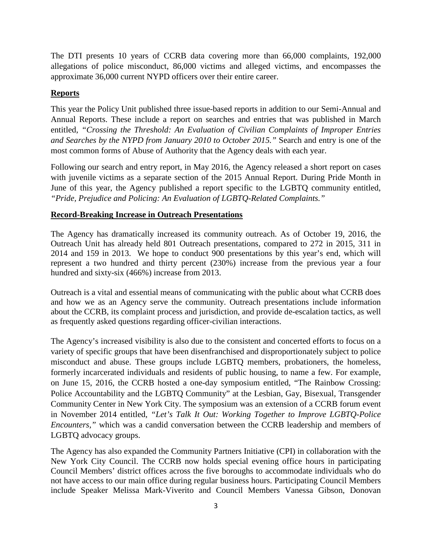The DTI presents 10 years of CCRB data covering more than 66,000 complaints, 192,000 allegations of police misconduct, 86,000 victims and alleged victims, and encompasses the approximate 36,000 current NYPD officers over their entire career.

# **Reports**

This year the Policy Unit published three issue-based reports in addition to our Semi-Annual and Annual Reports. These include a report on searches and entries that was published in March entitled, *"Crossing the Threshold: An Evaluation of Civilian Complaints of Improper Entries and Searches by the NYPD from January 2010 to October 2015."* Search and entry is one of the most common forms of Abuse of Authority that the Agency deals with each year.

Following our search and entry report, in May 2016, the Agency released a short report on cases with juvenile victims as a separate section of the 2015 Annual Report. During Pride Month in June of this year, the Agency published a report specific to the LGBTQ community entitled, *"Pride, Prejudice and Policing: An Evaluation of LGBTQ-Related Complaints."*

# **Record-Breaking Increase in Outreach Presentations**

The Agency has dramatically increased its community outreach. As of October 19, 2016, the Outreach Unit has already held 801 Outreach presentations, compared to 272 in 2015, 311 in 2014 and 159 in 2013.We hope to conduct 900 presentations by this year's end, which will represent a two hundred and thirty percent (230%) increase from the previous year a four hundred and sixty-six (466%) increase from 2013.

Outreach is a vital and essential means of communicating with the public about what CCRB does and how we as an Agency serve the community. Outreach presentations include information about the CCRB, its complaint process and jurisdiction, and provide de-escalation tactics, as well as frequently asked questions regarding officer-civilian interactions.

The Agency's increased visibility is also due to the consistent and concerted efforts to focus on a variety of specific groups that have been disenfranchised and disproportionately subject to police misconduct and abuse. These groups include LGBTQ members, probationers, the homeless, formerly incarcerated individuals and residents of public housing, to name a few. For example, on June 15, 2016, the CCRB hosted a one-day symposium entitled, "The Rainbow Crossing: Police Accountability and the LGBTQ Community" at the Lesbian, Gay, Bisexual, Transgender Community Center in New York City. The symposium was an extension of a CCRB forum event in November 2014 entitled, *"Let's Talk It Out: Working Together to Improve LGBTQ-Police Encounters,"* which was a candid conversation between the CCRB leadership and members of LGBTQ advocacy groups.

The Agency has also expanded the Community Partners Initiative (CPI) in collaboration with the New York City Council. The CCRB now holds special evening office hours in participating Council Members' district offices across the five boroughs to accommodate individuals who do not have access to our main office during regular business hours. Participating Council Members include Speaker Melissa Mark-Viverito and Council Members Vanessa Gibson, Donovan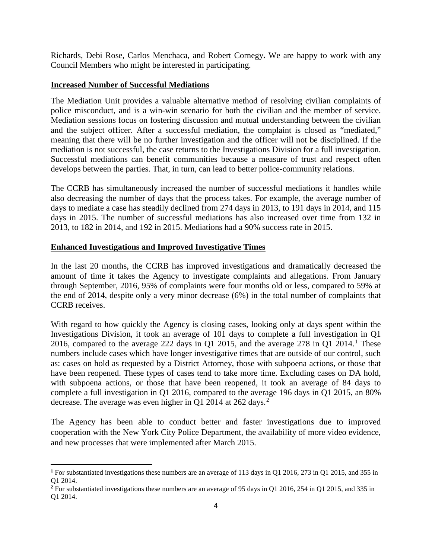Richards, Debi Rose, Carlos Menchaca, and Robert Cornegy**.** We are happy to work with any Council Members who might be interested in participating.

# **Increased Number of Successful Mediations**

The Mediation Unit provides a valuable alternative method of resolving civilian complaints of police misconduct, and is a win-win scenario for both the civilian and the member of service. Mediation sessions focus on fostering discussion and mutual understanding between the civilian and the subject officer. After a successful mediation, the complaint is closed as "mediated," meaning that there will be no further investigation and the officer will not be disciplined. If the mediation is not successful, the case returns to the Investigations Division for a full investigation. Successful mediations can benefit communities because a measure of trust and respect often develops between the parties. That, in turn, can lead to better police-community relations.

The CCRB has simultaneously increased the number of successful mediations it handles while also decreasing the number of days that the process takes. For example, the average number of days to mediate a case has steadily declined from 274 days in 2013, to 191 days in 2014, and 115 days in 2015. The number of successful mediations has also increased over time from 132 in 2013, to 182 in 2014, and 192 in 2015. Mediations had a 90% success rate in 2015.

# **Enhanced Investigations and Improved Investigative Times**

l

In the last 20 months, the CCRB has improved investigations and dramatically decreased the amount of time it takes the Agency to investigate complaints and allegations. From January through September, 2016, 95% of complaints were four months old or less, compared to 59% at the end of 2014, despite only a very minor decrease (6%) in the total number of complaints that CCRB receives.

With regard to how quickly the Agency is closing cases, looking only at days spent within the Investigations Division, it took an average of 101 days to complete a full investigation in Q1 20[1](#page-3-0)6, compared to the average 222 days in Q1 2015, and the average 278 in Q1 2014.<sup>1</sup> These numbers include cases which have longer investigative times that are outside of our control, such as: cases on hold as requested by a District Attorney, those with subpoena actions, or those that have been reopened. These types of cases tend to take more time. Excluding cases on DA hold, with subpoena actions, or those that have been reopened, it took an average of 84 days to complete a full investigation in Q1 2016, compared to the average 196 days in Q1 2015, an 80% decrease. The average was even higher in Q1 [2](#page-3-1)014 at 262 days.<sup>2</sup>

The Agency has been able to conduct better and faster investigations due to improved cooperation with the New York City Police Department, the availability of more video evidence, and new processes that were implemented after March 2015.

<span id="page-3-0"></span>**<sup>1</sup>** For substantiated investigations these numbers are an average of 113 days in Q1 2016, 273 in Q1 2015, and 355 in Q1 2014.

<span id="page-3-1"></span><sup>&</sup>lt;sup>2</sup> For substantiated investigations these numbers are an average of 95 days in Q1 2016, 254 in Q1 2015, and 335 in Q1 2014.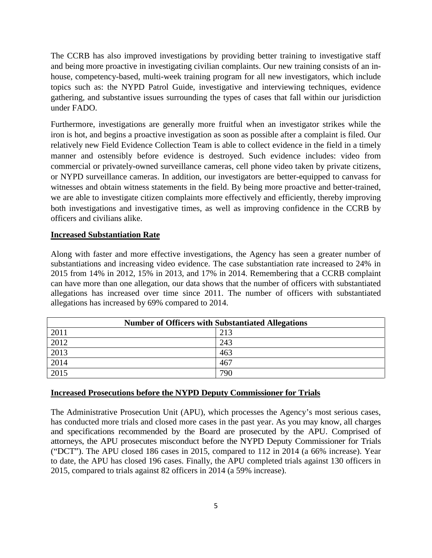The CCRB has also improved investigations by providing better training to investigative staff and being more proactive in investigating civilian complaints. Our new training consists of an inhouse, competency-based, multi-week training program for all new investigators, which include topics such as: the NYPD Patrol Guide, investigative and interviewing techniques, evidence gathering, and substantive issues surrounding the types of cases that fall within our jurisdiction under FADO.

Furthermore, investigations are generally more fruitful when an investigator strikes while the iron is hot, and begins a proactive investigation as soon as possible after a complaint is filed. Our relatively new Field Evidence Collection Team is able to collect evidence in the field in a timely manner and ostensibly before evidence is destroyed. Such evidence includes: video from commercial or privately-owned surveillance cameras, cell phone video taken by private citizens, or NYPD surveillance cameras. In addition, our investigators are better-equipped to canvass for witnesses and obtain witness statements in the field. By being more proactive and better-trained, we are able to investigate citizen complaints more effectively and efficiently, thereby improving both investigations and investigative times, as well as improving confidence in the CCRB by officers and civilians alike.

#### **Increased Substantiation Rate**

Along with faster and more effective investigations, the Agency has seen a greater number of substantiations and increasing video evidence. The case substantiation rate increased to 24% in 2015 from 14% in 2012, 15% in 2013, and 17% in 2014. Remembering that a CCRB complaint can have more than one allegation, our data shows that the number of officers with substantiated allegations has increased over time since 2011. The number of officers with substantiated allegations has increased by 69% compared to 2014.

| <b>Number of Officers with Substantiated Allegations</b> |     |
|----------------------------------------------------------|-----|
| 2011                                                     | 213 |
| 2012                                                     | 243 |
| 2013                                                     | 463 |
| 2014                                                     | 467 |
| 2015                                                     | 790 |

# **Increased Prosecutions before the NYPD Deputy Commissioner for Trials**

The Administrative Prosecution Unit (APU), which processes the Agency's most serious cases, has conducted more trials and closed more cases in the past year. As you may know, all charges and specifications recommended by the Board are prosecuted by the APU. Comprised of attorneys, the APU prosecutes misconduct before the NYPD Deputy Commissioner for Trials ("DCT"). The APU closed 186 cases in 2015, compared to 112 in 2014 (a 66% increase). Year to date, the APU has closed 196 cases. Finally, the APU completed trials against 130 officers in 2015, compared to trials against 82 officers in 2014 (a 59% increase).